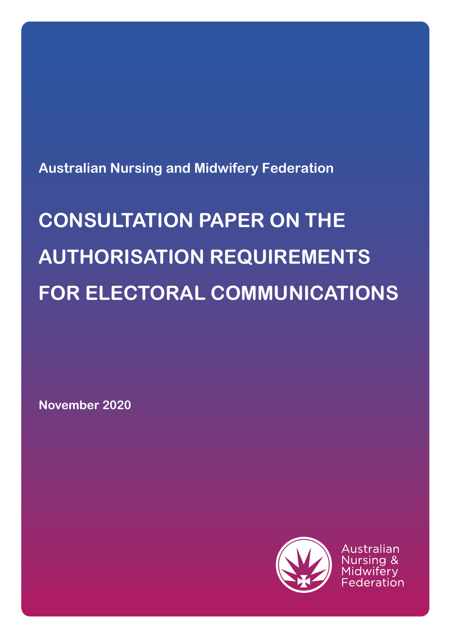**Australian Nursing and Midwifery Federation**

# **CONSULTATION PAPER ON THE AUTHORISATION REQUIREMENTS FOR ELECTORAL COMMUNICATIONS**

**November 2020**



Australian :ederation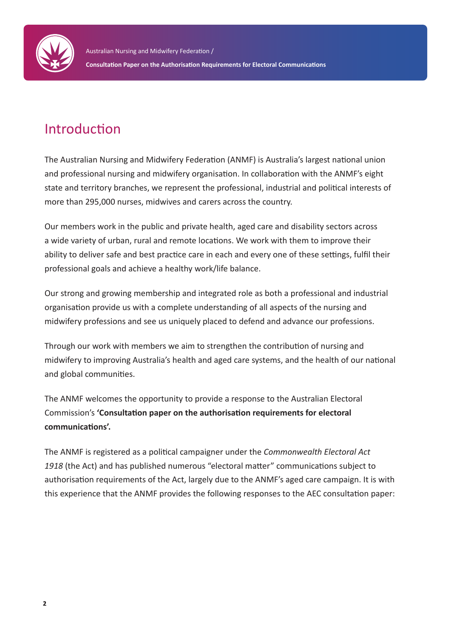

## Introduction

The Australian Nursing and Midwifery Federation (ANMF) is Australia's largest national union and professional nursing and midwifery organisation. In collaboration with the ANMF's eight state and territory branches, we represent the professional, industrial and political interests of more than 295,000 nurses, midwives and carers across the country.

Our members work in the public and private health, aged care and disability sectors across a wide variety of urban, rural and remote locations. We work with them to improve their ability to deliver safe and best practice care in each and every one of these settings, fulfil their professional goals and achieve a healthy work/life balance.

Our strong and growing membership and integrated role as both a professional and industrial organisation provide us with a complete understanding of all aspects of the nursing and midwifery professions and see us uniquely placed to defend and advance our professions.

Through our work with members we aim to strengthen the contribution of nursing and midwifery to improving Australia's health and aged care systems, and the health of our national and global communities.

The ANMF welcomes the opportunity to provide a response to the Australian Electoral Commission's **'Consultation paper on the authorisation requirements for electoral communications'.**

The ANMF is registered as a political campaigner under the *Commonwealth Electoral Act 1918* (the Act) and has published numerous "electoral matter" communications subject to authorisation requirements of the Act, largely due to the ANMF's aged care campaign. It is with this experience that the ANMF provides the following responses to the AEC consultation paper: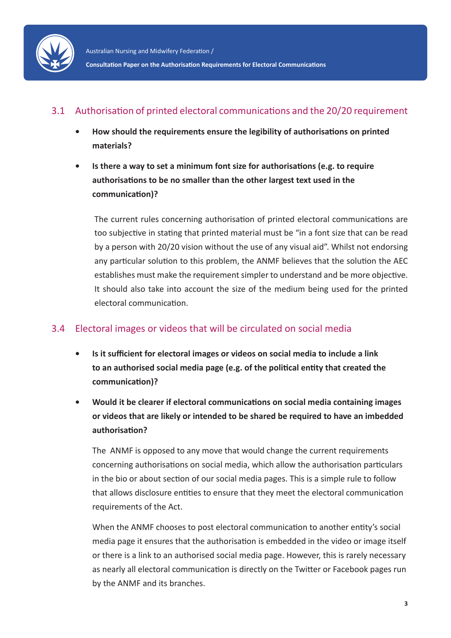

#### 3.1 Authorisation of printed electoral communications and the 20/20 requirement

- **• How should the requirements ensure the legibility of authorisations on printed materials?**
- **• Is there a way to set a minimum font size for authorisations (e.g. to require authorisations to be no smaller than the other largest text used in the communication)?**

The current rules concerning authorisation of printed electoral communications are too subjective in stating that printed material must be "in a font size that can be read by a person with 20/20 vision without the use of any visual aid". Whilst not endorsing any particular solution to this problem, the ANMF believes that the solution the AEC establishes must make the requirement simpler to understand and be more objective. It should also take into account the size of the medium being used for the printed electoral communication.

#### 3.4 Electoral images or videos that will be circulated on social media

- **• Is it sufficient for electoral images or videos on social media to include a link to an authorised social media page (e.g. of the political entity that created the communication)?**
- **• Would it be clearer if electoral communications on social media containing images or videos that are likely or intended to be shared be required to have an imbedded authorisation?**

The ANMF is opposed to any move that would change the current requirements concerning authorisations on social media, which allow the authorisation particulars in the bio or about section of our social media pages. This is a simple rule to follow that allows disclosure entities to ensure that they meet the electoral communication requirements of the Act.

When the ANMF chooses to post electoral communication to another entity's social media page it ensures that the authorisation is embedded in the video or image itself or there is a link to an authorised social media page. However, this is rarely necessary as nearly all electoral communication is directly on the Twitter or Facebook pages run by the ANMF and its branches.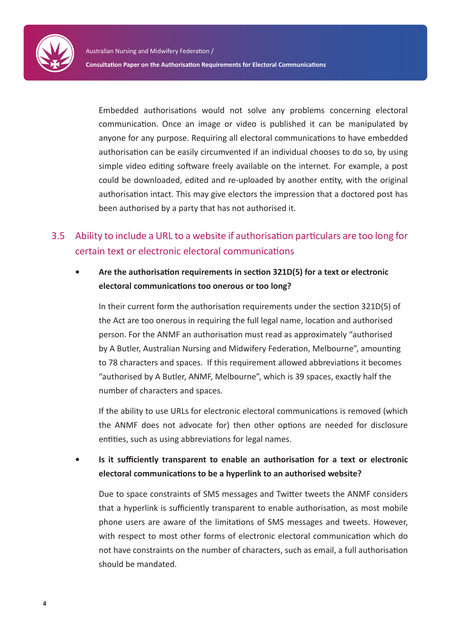Embedded authorisations would not solve any problems concerning electoral communication. Once an image or video is published it can be manipulated by anyone for any purpose. Requiring all electoral communications to have embedded authorisation can be easily circumvented if an individual chooses to do so, by using simple video editing software freely available on the internet. For example, a post could be downloaded, edited and re-uploaded by another entity, with the original authorisation intact. This may give electors the impression that a doctored post has been authorised by a party that has not authorised it.

### 3.5 Ability to include a URL to a website if authorisation particulars are too long for certain text or electronic electoral communications

#### **• Are the authorisation requirements in section 321D(5) for a text or electronic electoral communications too onerous or too long?**

In their current form the authorisation requirements under the section 321D(5) of the Act are too onerous in requiring the full legal name, location and authorised person. For the ANMF an authorisation must read as approximately "authorised by A Butler, Australian Nursing and Midwifery Federation, Melbourne", amounting to 78 characters and spaces. If this requirement allowed abbreviations it becomes "authorised by A Butler, ANMF, Melbourne", which is 39 spaces, exactly half the number of characters and spaces.

If the ability to use URLs for electronic electoral communications is removed (which the ANMF does not advocate for) then other options are needed for disclosure entities, such as using abbreviations for legal names.

**• Is it sufficiently transparent to enable an authorisation for a text or electronic electoral communications to be a hyperlink to an authorised website?**

Due to space constraints of SMS messages and Twitter tweets the ANMF considers that a hyperlink is sufficiently transparent to enable authorisation, as most mobile phone users are aware of the limitations of SMS messages and tweets. However, with respect to most other forms of electronic electoral communication which do not have constraints on the number of characters, such as email, a full authorisation should be mandated.